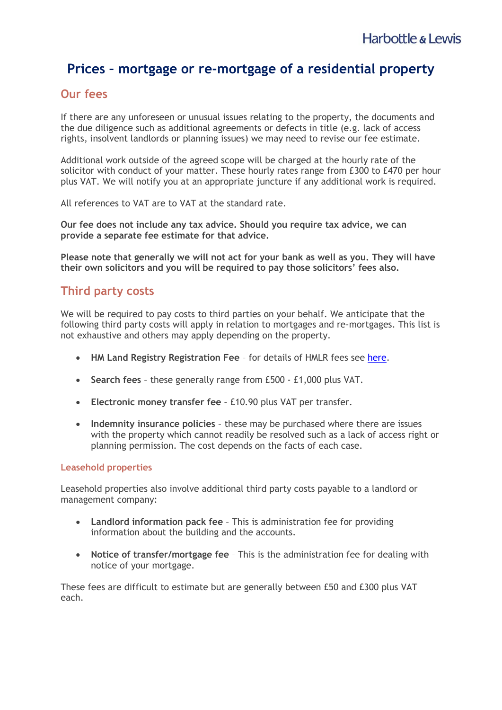# **Prices – mortgage or re-mortgage of a residential property**

### **Our fees**

If there are any unforeseen or unusual issues relating to the property, the documents and the due diligence such as additional agreements or defects in title (e.g. lack of access rights, insolvent landlords or planning issues) we may need to revise our fee estimate.

Additional work outside of the agreed scope will be charged at the hourly rate of the solicitor with conduct of your matter. These hourly rates range from £300 to £470 per hour plus VAT. We will notify you at an appropriate juncture if any additional work is required.

All references to VAT are to VAT at the standard rate.

**Our fee does not include any tax advice. Should you require tax advice, we can provide a separate fee estimate for that advice.**

**Please note that generally we will not act for your bank as well as you. They will have their own solicitors and you will be required to pay those solicitors' fees also.**

## **Third party costs**

We will be required to pay costs to third parties on your behalf. We anticipate that the following third party costs will apply in relation to mortgages and re-mortgages. This list is not exhaustive and others may apply depending on the property.

- **HM Land Registry Registration Fee** for details of HMLR fees see [here.](https://www.gov.uk/guidance/hm-land-registry-registration-services-fees)
- **Search fees** these generally range from £500 £1,000 plus VAT.
- **Electronic money transfer fee** £10.90 plus VAT per transfer.
- **Indemnity insurance policies** these may be purchased where there are issues with the property which cannot readily be resolved such as a lack of access right or planning permission. The cost depends on the facts of each case.

#### **Leasehold properties**

Leasehold properties also involve additional third party costs payable to a landlord or management company:

- **Landlord information pack fee** This is administration fee for providing information about the building and the accounts.
- **Notice of transfer/mortgage fee** This is the administration fee for dealing with notice of your mortgage.

These fees are difficult to estimate but are generally between £50 and £300 plus VAT each.